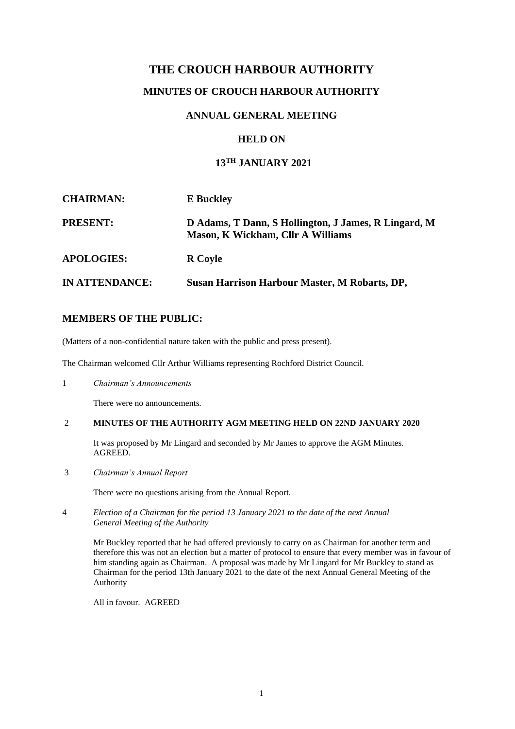## **THE CROUCH HARBOUR AUTHORITY**

## **MINUTES OF CROUCH HARBOUR AUTHORITY**

### **ANNUAL GENERAL MEETING**

## **HELD ON**

# **13TH JANUARY 2021**

| <b>CHAIRMAN:</b>  | <b>E</b> Buckley                                                                                 |
|-------------------|--------------------------------------------------------------------------------------------------|
| <b>PRESENT:</b>   | D Adams, T Dann, S Hollington, J James, R Lingard, M<br><b>Mason, K Wickham, Cllr A Williams</b> |
| <b>APOLOGIES:</b> | <b>R</b> Coyle                                                                                   |
| IN ATTENDANCE:    | <b>Susan Harrison Harbour Master, M Robarts, DP,</b>                                             |

#### **MEMBERS OF THE PUBLIC:**

(Matters of a non-confidential nature taken with the public and press present).

The Chairman welcomed Cllr Arthur Williams representing Rochford District Council.

1 *Chairman's Announcements*

There were no announcements.

#### 2 **MINUTES OF THE AUTHORITY AGM MEETING HELD ON 22ND JANUARY 2020**

It was proposed by Mr Lingard and seconded by Mr James to approve the AGM Minutes. AGREED.

3 *Chairman's Annual Report*

There were no questions arising from the Annual Report.

4 *Election of a Chairman for the period 13 January 2021 to the date of the next Annual General Meeting of the Authority*

Mr Buckley reported that he had offered previously to carry on as Chairman for another term and therefore this was not an election but a matter of protocol to ensure that every member was in favour of him standing again as Chairman. A proposal was made by Mr Lingard for Mr Buckley to stand as Chairman for the period 13th January 2021 to the date of the next Annual General Meeting of the Authority

All in favour. AGREED